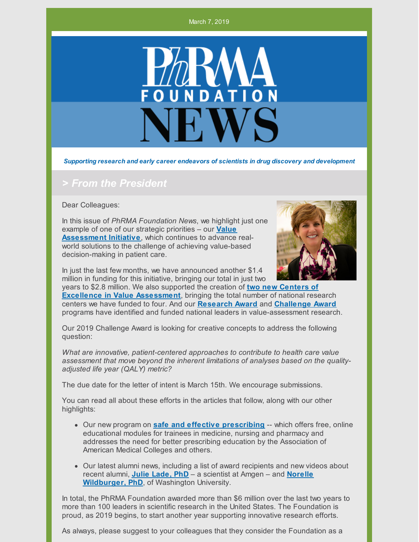#### March 7, 2019



*Supporting research and early career endeavors of scientists in drug discovery and development*

#### *> From the President*

Dear Colleagues:

In this issue of *PhRMA Foundation News*, we highlight just one example of one of our strategic priorities – our **Value [Assessment](http://www.phrmafoundation.org/2018-awards/value-assessment-initiative) Initiative**, which continues to advance realworld solutions to the challenge of achieving value-based decision-making in patient care.



In just the last few months, we have announced another \$1.4 million in funding for this initiative, bringing our total in just two

years to \$2.8 million. We also supported the creation of **two new Centers of Excellence in Value [Assessment](http://www.phrmafoundation.org/centers-of-excellence-in-value-assessment/)**, bringing the total number of national research centers we have funded to four. And our **[Research](http://www.phrmafoundation.org/2018-awards/value-assessment-initiative/research-awards-1/) Award** and **[Challenge](http://www.phrmafoundation.org/2018-awards/value-assessment-initiative/about-the-value-assessment-initiative-awards-2/) Award** programs have identified and funded national leaders in value-assessment research.

Our 2019 Challenge Award is looking for creative concepts to address the following question:

*What are innovative, patient-centered approaches to contribute to health care value assessment that move beyond the inherent limitations of analyses based on the qualityadjusted life year (QALY) metric?*

The due date for the letter of intent is March 15th. We encourage submissions.

You can read all about these efforts in the articles that follow, along with our other highlights:

- Our new program on **safe and effective [prescribing](http://www.phrmafoundation.org/safe-and-effective-prescribing-project/)** -- which offers free, online educational modules for trainees in medicine, nursing and pharmacy and addresses the need for better prescribing education by the Association of American Medical Colleges and others.
- Our latest alumni news, including a list of award recipients and new videos about recent alumni, **Julie [Lade,](http://www.phrmafoundation.org/julie-lade-serving-as-a-role-model-for-other-women-in-science/) PhD** – a scientist at Amgen – and **Norelle [Wildburger,](http://www.phrmafoundation.org/norelle-wildburger-phd-a-leader-in-alzheimers-research/) PhD**, of Washington University.

In total, the PhRMA Foundation awarded more than \$6 million over the last two years to more than 100 leaders in scientific research in the United States. The Foundation is proud, as 2019 begins, to start another year supporting innovative research efforts.

As always, please suggest to your colleagues that they consider the Foundation as a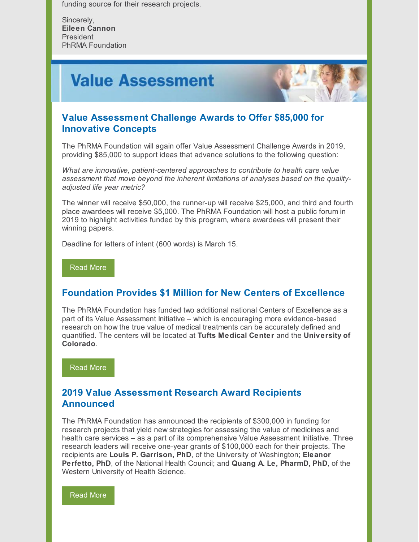funding source for their research projects.

Sincerely, **Eileen Cannon** President PhRMA Foundation

## **Value Assessment**



### **Value Assessment Challenge Awards to Offer \$85,000 for Innovative Concepts**

The PhRMA Foundation will again offer Value Assessment Challenge Awards in 2019, providing \$85,000 to support ideas that advance solutions to the following question:

*What are innovative, patient-centered approaches to contribute to health care value assessment that move beyond the inherent limitations of analyses based on the qualityadjusted life year metric?*

The winner will receive \$50,000, the runner-up will receive \$25,000, and third and fourth place awardees will receive \$5,000. The PhRMA Foundation will host a public forum in 2019 to highlight activities funded by this program, where awardees will present their winning papers.

Deadline for letters of intent (600 words) is March 15.

[Read](http://www.phrmafoundation.org/2019-value-assessment-challenge-awards-to-offer-85000-for-innovative-evidence-based-research/) More

### **Foundation Provides \$1 Million for New Centers of Excellence**

The PhRMA Foundation has funded two additional national Centers of Excellence as a part of its Value Assessment Initiative – which is encouraging more evidence-based research on how the true value of medical treatments can be accurately defined and quantified. The centers will be located at **Tufts Medical Center** and the **University of Colorado**.

[Read](http://www.phrmafoundation.org/foundation-provides-1-million-for-new-centers-of-excellence/) More

### **2019 Value Assessment Research Award Recipients Announced**

The PhRMA Foundation has announced the recipients of \$300,000 in funding for research projects that yield new strategies for assessing the value of medicines and health care services – as a part of its comprehensive Value Assessment Initiative. Three research leaders will receive one-year grants of \$100,000 each for their projects. The recipients are **Louis P. Garrison, PhD**, of the University of Washington; **Eleanor Perfetto, PhD**, of the National Health Council; and **Quang A. Le, PharmD, PhD**, of the Western University of Health Science.

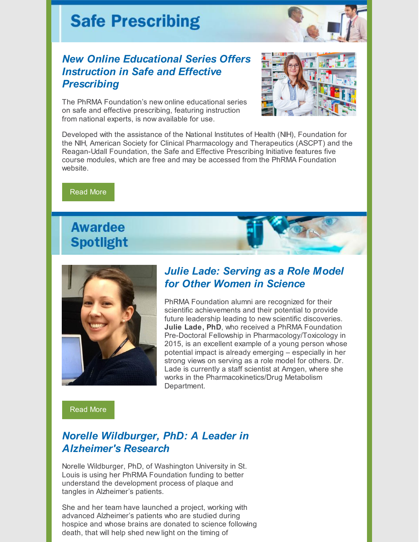# **Safe Prescribing**



The PhRMA Foundation's new online educational series on safe and effective prescribing, featuring instruction from national experts, is now available for use.



Developed with the assistance of the National Institutes of Health (NIH), Foundation for the NIH, American Society for Clinical Pharmacology and Therapeutics (ASCPT) and the Reagan-Udall Foundation, the Safe and Effective Prescribing Initiative features five course modules, which are free and may be accessed from the PhRMA Foundation website.

[Read](http://www.phrmafoundation.org/new-online-educational-series-offers-instruction-in-safe-and-effective-prescribing/) More

### **Awardee Spotlight**



### *Julie Lade: Serving as a Role Model for Other Women in Science*

PhRMA Foundation alumni are recognized for their scientific achievements and their potential to provide future leadership leading to new scientific discoveries. **Julie Lade, PhD**, who received a PhRMA Foundation Pre-Doctoral Fellowship in Pharmacology/Toxicology in 2015, is an excellent example of a young person whose potential impact is already emerging – especially in her strong views on serving as a role model for others. Dr. Lade is currently a staff scientist at Amgen, where she works in the Pharmacokinetics/Drug Metabolism Department.

[Read](http://www.phrmafoundation.org/julie-lade-serving-as-a-role-model-for-other-women-in-science/) More

### *Norelle Wildburger, PhD: A Leader in Alzheimer's Research*

Norelle Wildburger, PhD, of Washington University in St. Louis is using her PhRMA Foundation funding to better understand the development process of plaque and tangles in Alzheimer's patients.

She and her team have launched a project, working with advanced Alzheimer's patients who are studied during hospice and whose brains are donated to science following death, that will help shed new light on the timing of